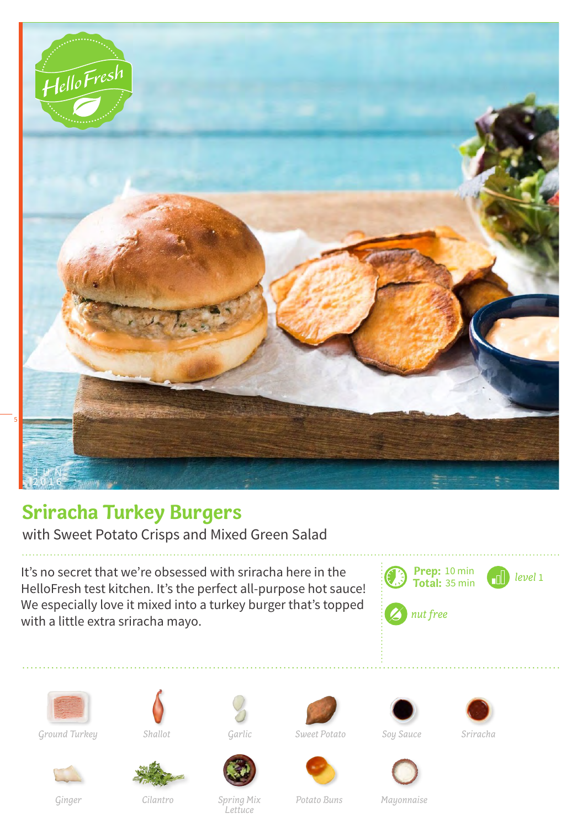

## **Sriracha Turkey Burgers**

with Sweet Potato Crisps and Mixed Green Salad

It's no secret that we're obsessed with sriracha here in the HelloFresh test kitchen. It's the perfect all-purpose hot sauce! We especially love it mixed into a turkey burger that's topped with a little extra sriracha mayo.











*Ground Turkey Shallot Sweet Potato Sriracha Garlic Soy Sauce*









*Potato Buns Mayonnaise*

*Ginger Cilantro Spring Mix Lettuce*